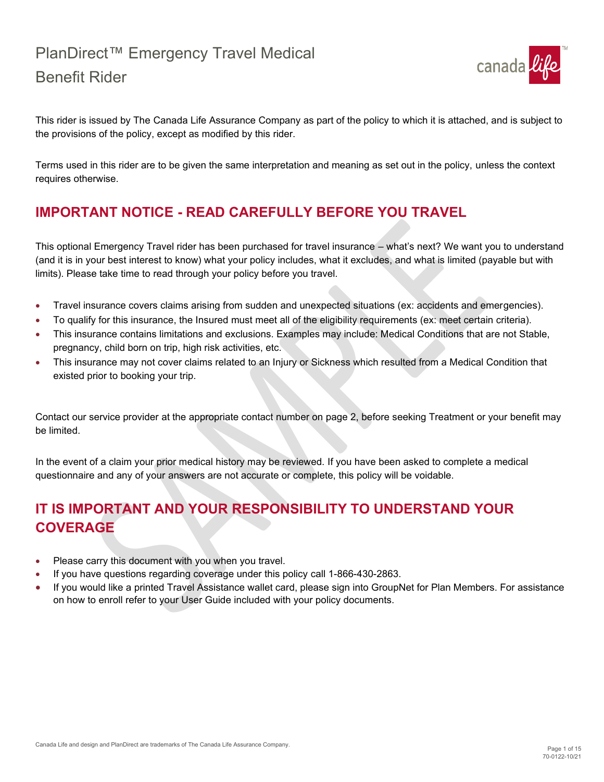

This rider is issued by The Canada Life Assurance Company as part of the policy to which it is attached, and is subject to the provisions of the policy, except as modified by this rider.

Terms used in this rider are to be given the same interpretation and meaning as set out in the policy, unless the context requires otherwise.

### **IMPORTANT NOTICE - READ CAREFULLY BEFORE YOU TRAVEL**

This optional Emergency Travel rider has been purchased for travel insurance – what's next? We want you to understand (and it is in your best interest to know) what your policy includes, what it excludes, and what is limited (payable but with limits). Please take time to read through your policy before you travel.

- Travel insurance covers claims arising from sudden and unexpected situations (ex: accidents and emergencies).
- To qualify for this insurance, the Insured must meet all of the eligibility requirements (ex: meet certain criteria).
- This insurance contains limitations and exclusions. Examples may include: Medical Conditions that are not Stable, pregnancy, child born on trip, high risk activities, etc.
- This insurance may not cover claims related to an Injury or Sickness which resulted from a Medical Condition that existed prior to booking your trip.

Contact our service provider at the appropriate contact number on page 2, before seeking Treatment or your benefit may be limited.

In the event of a claim your prior medical history may be reviewed. If you have been asked to complete a medical questionnaire and any of your answers are not accurate or complete, this policy will be voidable.

### **IT IS IMPORTANT AND YOUR RESPONSIBILITY TO UNDERSTAND YOUR COVERAGE**

- Please carry this document with you when you travel.
- If you have questions regarding coverage under this policy call 1-866-430-2863.
- If you would like a printed Travel Assistance wallet card, please sign into GroupNet for Plan Members. For assistance on how to enroll refer to your User Guide included with your policy documents.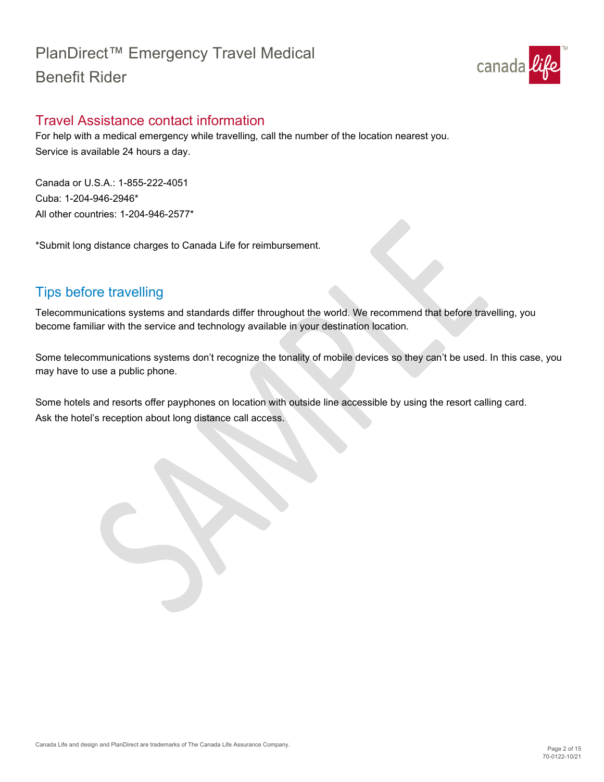

### <span id="page-1-0"></span>Travel Assistance contact information

For help with a medical emergency while travelling, call the number of the location nearest you. Service is available 24 hours a day.

Canada or U.S.A.: 1-855-222-4051 Cuba: 1-204-946-2946\* All other countries: 1-204-946-2577\*

\*Submit long distance charges to Canada Life for reimbursement.

### <span id="page-1-1"></span>Tips before travelling

Telecommunications systems and standards differ throughout the world. We recommend that before travelling, you become familiar with the service and technology available in your destination location.

Some telecommunications systems don't recognize the tonality of mobile devices so they can't be used. In this case, you may have to use a public phone.

Some hotels and resorts offer payphones on location with outside line accessible by using the resort calling card. Ask the hotel's reception about long distance call access.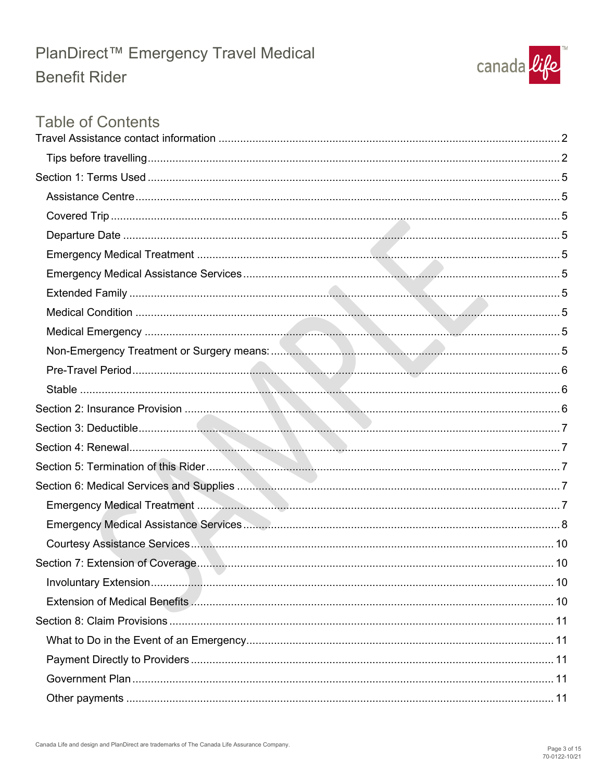

### **Table of Contents**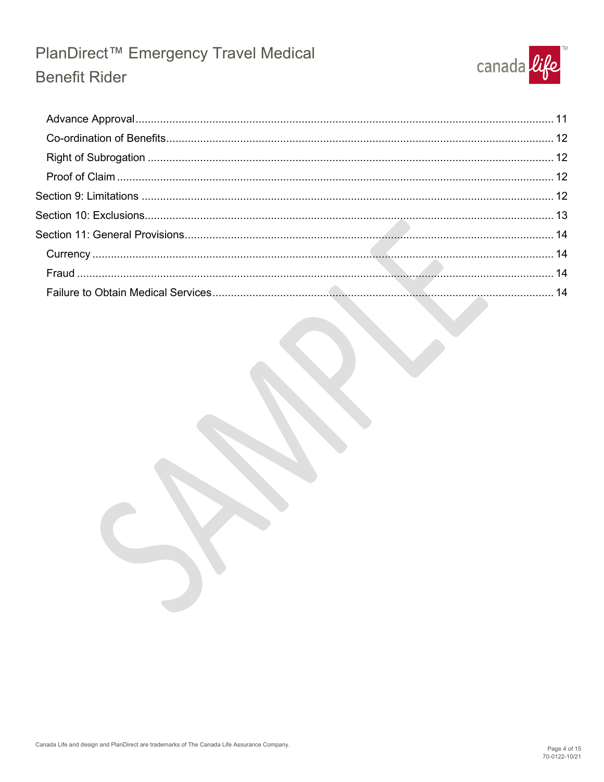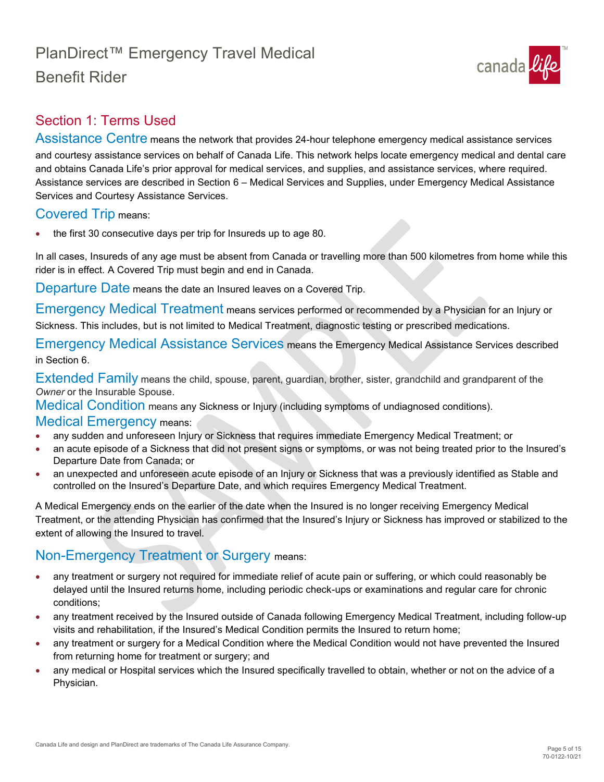# canada like

### <span id="page-4-0"></span>Section 1: Terms Used

<span id="page-4-3"></span>Assistance Centre means the network that provides 24-hour telephone emergency medical assistance services and courtesy assistance services on behalf of Canada Life. This network helps locate emergency medical and dental care and obtains Canada Life's prior approval for medical services, and supplies, and assistance services, where required. Assistance services are described in Section 6 – Medical Services and Supplies, under Emergency Medical Assistance Services and Courtesy Assistance Services.

### <span id="page-4-4"></span>Covered Trip means:

• the first 30 consecutive days per trip for Insureds up to age 80.

In all cases, Insureds of any age must be absent from Canada or travelling more than 500 kilometres from home while this rider is in effect. A Covered Trip must begin and end in Canada.

<span id="page-4-5"></span>Departure Date means the date an Insured leaves on a Covered Trip.

<span id="page-4-1"></span>Emergency Medical Treatment means services performed or recommended by a Physician for an Injury or Sickness. This includes, but is not limited to Medical Treatment, diagnostic testing or prescribed medications.

<span id="page-4-2"></span>Emergency Medical Assistance Services means the Emergency Medical Assistance Services described in Section 6.

<span id="page-4-6"></span>Extended Family means the child, spouse, parent, guardian, brother, sister, grandchild and grandparent of the *Owner* or the Insurable Spouse.

<span id="page-4-7"></span>Medical Condition means any Sickness or Injury (including symptoms of undiagnosed conditions).

#### <span id="page-4-8"></span>Medical Emergency means:

- any sudden and unforeseen Injury or Sickness that requires immediate Emergency Medical Treatment; or
- an acute episode of a Sickness that did not present signs or symptoms, or was not being treated prior to the Insured's Departure Date from Canada; or
- an unexpected and unforeseen acute episode of an Injury or Sickness that was a previously identified as Stable and controlled on the Insured's Departure Date, and which requires Emergency Medical Treatment.

A Medical Emergency ends on the earlier of the date when the Insured is no longer receiving Emergency Medical Treatment, or the attending Physician has confirmed that the Insured's Injury or Sickness has improved or stabilized to the extent of allowing the Insured to travel.

### <span id="page-4-9"></span>Non-Emergency Treatment or Surgery means:

- any treatment or surgery not required for immediate relief of acute pain or suffering, or which could reasonably be delayed until the Insured returns home, including periodic check-ups or examinations and regular care for chronic conditions;
- any treatment received by the Insured outside of Canada following Emergency Medical Treatment, including follow-up visits and rehabilitation, if the Insured's Medical Condition permits the Insured to return home;
- any treatment or surgery for a Medical Condition where the Medical Condition would not have prevented the Insured from returning home for treatment or surgery; and
- any medical or Hospital services which the Insured specifically travelled to obtain, whether or not on the advice of a Physician.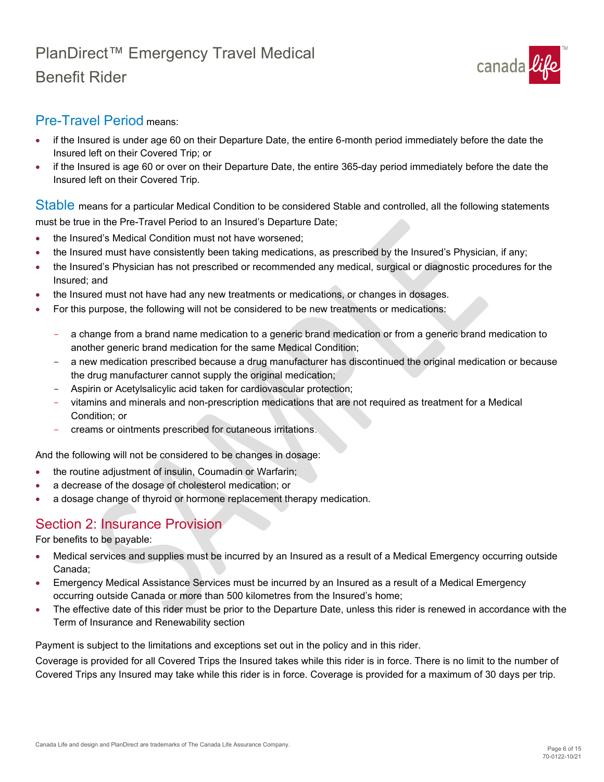

### <span id="page-5-1"></span>Pre-Travel Period means:

- if the Insured is under age 60 on their Departure Date, the entire 6-month period immediately before the date the Insured left on their Covered Trip; or
- if the Insured is age 60 or over on their Departure Date, the entire 365-day period immediately before the date the Insured left on their Covered Trip.

<span id="page-5-2"></span>Stable means for a particular Medical Condition to be considered Stable and controlled, all the following statements must be true in the Pre-Travel Period to an Insured's Departure Date;

- the Insured's Medical Condition must not have worsened;
- the Insured must have consistently been taking medications, as prescribed by the Insured's Physician, if any;
- the Insured's Physician has not prescribed or recommended any medical, surgical or diagnostic procedures for the Insured; and
- the Insured must not have had any new treatments or medications, or changes in dosages.
- For this purpose, the following will not be considered to be new treatments or medications:
	- a change from a brand name medication to a generic brand medication or from a generic brand medication to another generic brand medication for the same Medical Condition;
	- a new medication prescribed because a drug manufacturer has discontinued the original medication or because the drug manufacturer cannot supply the original medication;
	- Aspirin or Acetylsalicylic acid taken for cardiovascular protection;
	- vitamins and minerals and non-prescription medications that are not required as treatment for a Medical Condition; or
	- creams or ointments prescribed for cutaneous irritations.

And the following will not be considered to be changes in dosage:

- the routine adjustment of insulin, Coumadin or Warfarin;
- a decrease of the dosage of cholesterol medication; or
- a dosage change of thyroid or hormone replacement therapy medication.

### <span id="page-5-0"></span>Section 2: Insurance Provision

For benefits to be payable:

- Medical services and supplies must be incurred by an Insured as a result of a Medical Emergency occurring outside Canada;
- Emergency Medical Assistance Services must be incurred by an Insured as a result of a Medical Emergency occurring outside Canada or more than 500 kilometres from the Insured's home;
- The effective date of this rider must be prior to the Departure Date, unless this rider is renewed in accordance with the Term of Insurance and Renewability section

Payment is subject to the limitations and exceptions set out in the policy and in this rider.

Coverage is provided for all Covered Trips the Insured takes while this rider is in force. There is no limit to the number of Covered Trips any Insured may take while this rider is in force. Coverage is provided for a maximum of 30 days per trip.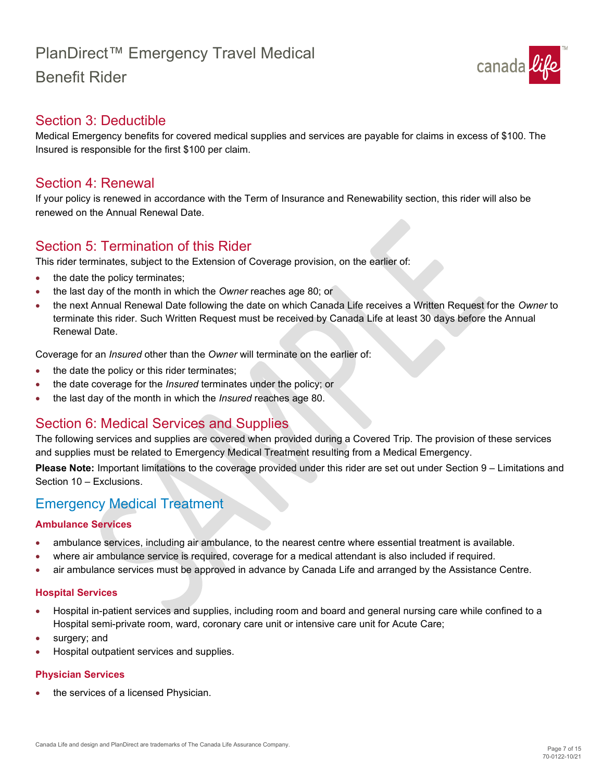# PlanDirect™ Emergency Travel Medical

## Benefit Rider



### <span id="page-6-0"></span>Section 3: Deductible

Medical Emergency benefits for covered medical supplies and services are payable for claims in excess of \$100. The Insured is responsible for the first \$100 per claim.

### <span id="page-6-1"></span>Section 4: Renewal

If your policy is renewed in accordance with the Term of Insurance and Renewability section, this rider will also be renewed on the Annual Renewal Date.

### <span id="page-6-2"></span>Section 5: Termination of this Rider

This rider terminates, subject to the Extension of Coverage provision, on the earlier of:

- the date the policy terminates;
- the last day of the month in which the *Owner* reaches age 80; or
- the next Annual Renewal Date following the date on which Canada Life receives a Written Request for the *Owner* to terminate this rider. Such Written Request must be received by Canada Life at least 30 days before the Annual Renewal Date.

Coverage for an *Insured* other than the *Owner* will terminate on the earlier of:

- the date the policy or this rider terminates;
- the date coverage for the *Insured* terminates under the policy; or
- the last day of the month in which the *Insured* reaches age 80.

### <span id="page-6-3"></span>Section 6: Medical Services and Supplies

The following services and supplies are covered when provided during a Covered Trip. The provision of these services and supplies must be related to Emergency Medical Treatment resulting from a Medical Emergency.

**Please Note:** Important limitations to the coverage provided under this rider are set out under Section 9 – Limitations and Section 10 – Exclusions.

### Emergency Medical Treatment

#### **Ambulance Services**

- ambulance services, including air ambulance, to the nearest centre where essential treatment is available.
- where air ambulance service is required, coverage for a medical attendant is also included if required.
- air ambulance services must be approved in advance by Canada Life and arranged by the Assistance Centre.

#### **Hospital Services**

- Hospital in-patient services and supplies, including room and board and general nursing care while confined to a Hospital semi-private room, ward, coronary care unit or intensive care unit for Acute Care;
- surgery; and
- Hospital outpatient services and supplies.

#### **Physician Services**

the services of a licensed Physician.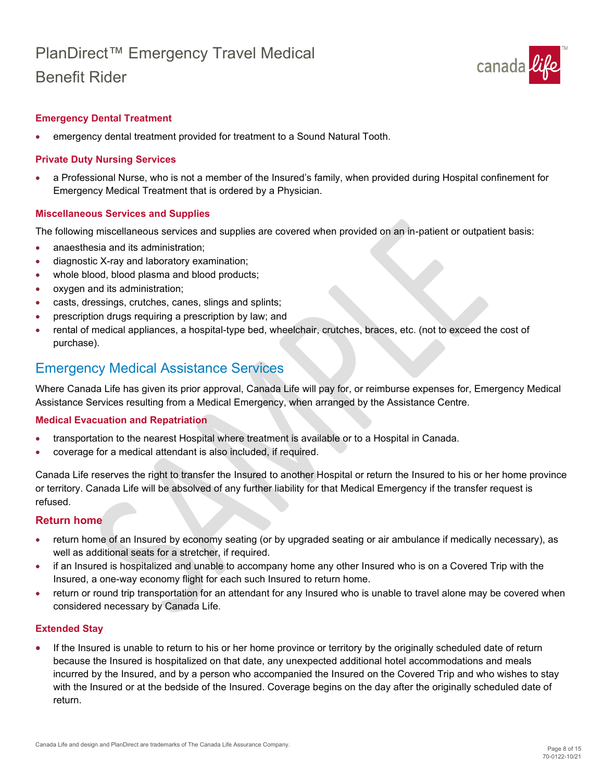

#### **Emergency Dental Treatment**

• emergency dental treatment provided for treatment to a Sound Natural Tooth.

#### **Private Duty Nursing Services**

• a Professional Nurse, who is not a member of the Insured's family, when provided during Hospital confinement for Emergency Medical Treatment that is ordered by a Physician.

#### **Miscellaneous Services and Supplies**

The following miscellaneous services and supplies are covered when provided on an in-patient or outpatient basis:

- anaesthesia and its administration:
- diagnostic X-ray and laboratory examination;
- whole blood, blood plasma and blood products;
- oxygen and its administration;
- casts, dressings, crutches, canes, slings and splints;
- prescription drugs requiring a prescription by law; and
- rental of medical appliances, a hospital-type bed, wheelchair, crutches, braces, etc. (not to exceed the cost of purchase).

### Emergency Medical Assistance Services

Where Canada Life has given its prior approval, Canada Life will pay for, or reimburse expenses for, Emergency Medical Assistance Services resulting from a Medical Emergency, when arranged by the Assistance Centre.

#### **Medical Evacuation and Repatriation**

- transportation to the nearest Hospital where treatment is available or to a Hospital in Canada.
- coverage for a medical attendant is also included, if required.

Canada Life reserves the right to transfer the Insured to another Hospital or return the Insured to his or her home province or territory. Canada Life will be absolved of any further liability for that Medical Emergency if the transfer request is refused.

#### **Return home**

- return home of an Insured by economy seating (or by upgraded seating or air ambulance if medically necessary), as well as additional seats for a stretcher, if required.
- if an Insured is hospitalized and unable to accompany home any other Insured who is on a Covered Trip with the Insured, a one-way economy flight for each such Insured to return home.
- return or round trip transportation for an attendant for any Insured who is unable to travel alone may be covered when considered necessary by Canada Life.

#### **Extended Stay**

If the Insured is unable to return to his or her home province or territory by the originally scheduled date of return because the Insured is hospitalized on that date, any unexpected additional hotel accommodations and meals incurred by the Insured, and by a person who accompanied the Insured on the Covered Trip and who wishes to stay with the Insured or at the bedside of the Insured. Coverage begins on the day after the originally scheduled date of return. •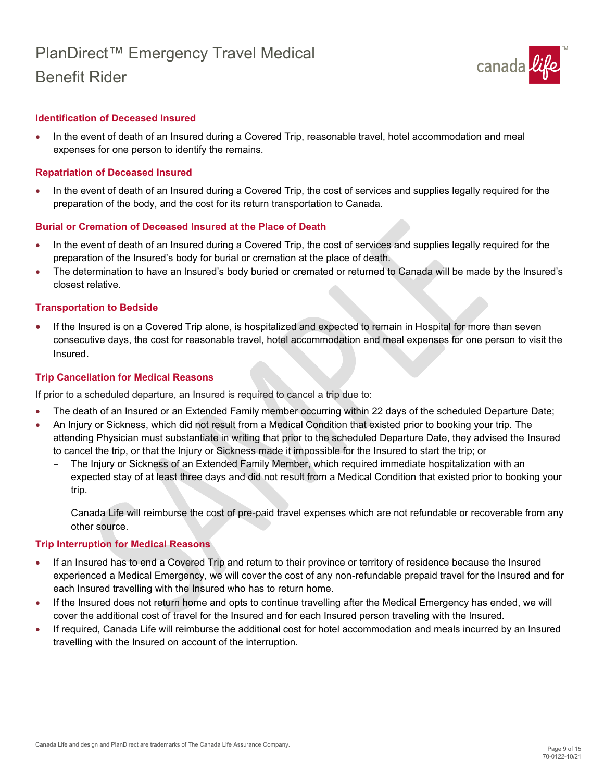

#### **Identification of Deceased Insured**

• In the event of death of an Insured during a Covered Trip, reasonable travel, hotel accommodation and meal expenses for one person to identify the remains.

#### **Repatriation of Deceased Insured**

• In the event of death of an Insured during a Covered Trip, the cost of services and supplies legally required for the preparation of the body, and the cost for its return transportation to Canada.

#### **Burial or Cremation of Deceased Insured at the Place of Death**

- In the event of death of an Insured during a Covered Trip, the cost of services and supplies legally required for the preparation of the Insured's body for burial or cremation at the place of death.
- The determination to have an Insured's body buried or cremated or returned to Canada will be made by the Insured's closest relative.

#### **Transportation to Bedside**

• If the Insured is on a Covered Trip alone, is hospitalized and expected to remain in Hospital for more than seven consecutive days, the cost for reasonable travel, hotel accommodation and meal expenses for one person to visit the Insured.

#### **Trip Cancellation for Medical Reasons**

If prior to a scheduled departure, an Insured is required to cancel a trip due to:

- The death of an Insured or an Extended Family member occurring within 22 days of the scheduled Departure Date;
- An Injury or Sickness, which did not result from a Medical Condition that existed prior to booking your trip. The attending Physician must substantiate in writing that prior to the scheduled Departure Date, they advised the Insured to cancel the trip, or that the Injury or Sickness made it impossible for the Insured to start the trip; or
	- The Injury or Sickness of an Extended Family Member, which required immediate hospitalization with an expected stay of at least three days and did not result from a Medical Condition that existed prior to booking your trip.

Canada Life will reimburse the cost of pre-paid travel expenses which are not refundable or recoverable from any other source.

#### **Trip Interruption for Medical Reasons**

- If an Insured has to end a Covered Trip and return to their province or territory of residence because the Insured experienced a Medical Emergency, we will cover the cost of any non-refundable prepaid travel for the Insured and for each Insured travelling with the Insured who has to return home.
- If the Insured does not return home and opts to continue travelling after the Medical Emergency has ended, we will cover the additional cost of travel for the Insured and for each Insured person traveling with the Insured.
- If required, Canada Life will reimburse the additional cost for hotel accommodation and meals incurred by an Insured travelling with the Insured on account of the interruption.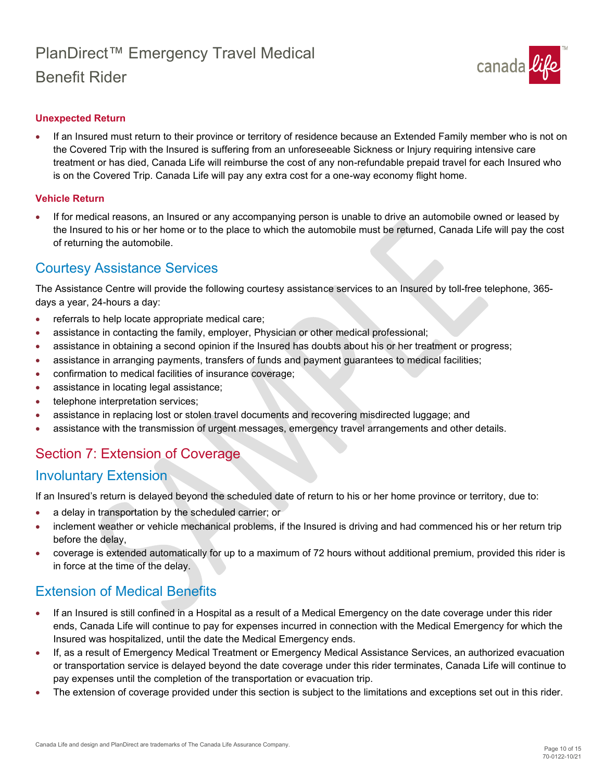

#### **Unexpected Return**

• If an Insured must return to their province or territory of residence because an Extended Family member who is not on the Covered Trip with the Insured is suffering from an unforeseeable Sickness or Injury requiring intensive care treatment or has died, Canada Life will reimburse the cost of any non-refundable prepaid travel for each Insured who is on the Covered Trip. Canada Life will pay any extra cost for a one-way economy flight home.

#### **Vehicle Return**

• If for medical reasons, an Insured or any accompanying person is unable to drive an automobile owned or leased by the Insured to his or her home or to the place to which the automobile must be returned, Canada Life will pay the cost of returning the automobile.

### <span id="page-9-0"></span>Courtesy Assistance Services

The Assistance Centre will provide the following courtesy assistance services to an Insured by toll-free telephone, 365 days a year, 24-hours a day:

- referrals to help locate appropriate medical care;
- assistance in contacting the family, employer, Physician or other medical professional;
- assistance in obtaining a second opinion if the Insured has doubts about his or her treatment or progress;
- assistance in arranging payments, transfers of funds and payment guarantees to medical facilities;
- confirmation to medical facilities of insurance coverage;
- assistance in locating legal assistance;
- telephone interpretation services;
- assistance in replacing lost or stolen travel documents and recovering misdirected luggage; and
- assistance with the transmission of urgent messages, emergency travel arrangements and other details.

### <span id="page-9-1"></span>Section 7: Extension of Coverage

### <span id="page-9-2"></span>Involuntary Extension

If an Insured's return is delayed beyond the scheduled date of return to his or her home province or territory, due to:

- a delay in transportation by the scheduled carrier; or
- inclement weather or vehicle mechanical problems, if the Insured is driving and had commenced his or her return trip before the delay,
- coverage is extended automatically for up to a maximum of 72 hours without additional premium, provided this rider is in force at the time of the delay.

### <span id="page-9-3"></span>Extension of Medical Benefits

- If an Insured is still confined in a Hospital as a result of a Medical Emergency on the date coverage under this rider ends, Canada Life will continue to pay for expenses incurred in connection with the Medical Emergency for which the Insured was hospitalized, until the date the Medical Emergency ends.
- If, as a result of Emergency Medical Treatment or Emergency Medical Assistance Services, an authorized evacuation or transportation service is delayed beyond the date coverage under this rider terminates, Canada Life will continue to pay expenses until the completion of the transportation or evacuation trip.
- The extension of coverage provided under this section is subject to the limitations and exceptions set out in this rider.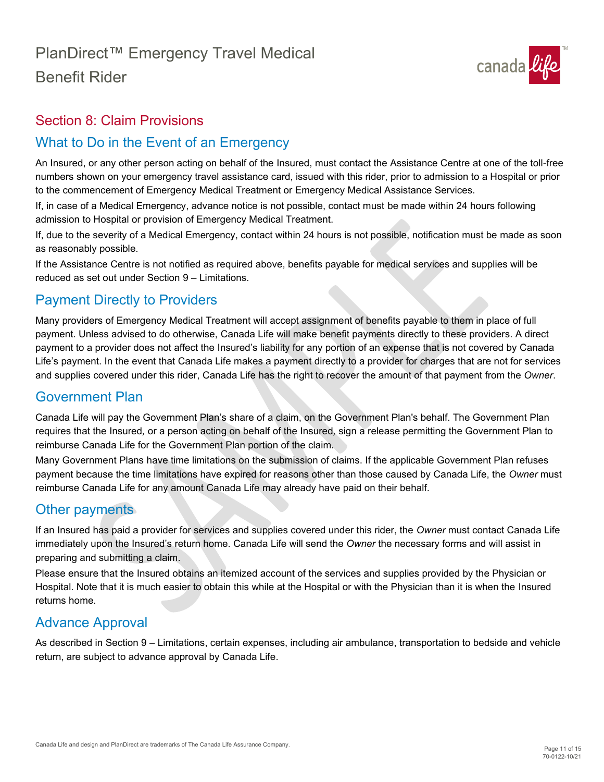

### <span id="page-10-0"></span>Section 8: Claim Provisions

### <span id="page-10-1"></span>What to Do in the Event of an Emergency

An Insured, or any other person acting on behalf of the Insured, must contact the Assistance Centre at one of the toll-free numbers shown on your emergency travel assistance card, issued with this rider, prior to admission to a Hospital or prior to the commencement of Emergency Medical Treatment or Emergency Medical Assistance Services.

If, in case of a Medical Emergency, advance notice is not possible, contact must be made within 24 hours following admission to Hospital or provision of Emergency Medical Treatment.

If, due to the severity of a Medical Emergency, contact within 24 hours is not possible, notification must be made as soon as reasonably possible.

If the Assistance Centre is not notified as required above, benefits payable for medical services and supplies will be reduced as set out under Section 9 – Limitations.

### <span id="page-10-2"></span>Payment Directly to Providers

Many providers of Emergency Medical Treatment will accept assignment of benefits payable to them in place of full payment. Unless advised to do otherwise, Canada Life will make benefit payments directly to these providers. A direct payment to a provider does not affect the Insured's liability for any portion of an expense that is not covered by Canada Life's payment. In the event that Canada Life makes a payment directly to a provider for charges that are not for services and supplies covered under this rider, Canada Life has the right to recover the amount of that payment from the *Owner*.

### <span id="page-10-3"></span>Government Plan

Canada Life will pay the Government Plan's share of a claim, on the Government Plan's behalf. The Government Plan requires that the Insured*,* or a person acting on behalf of the Insured*,* sign a release permitting the Government Plan to reimburse Canada Life for the Government Plan portion of the claim.

Many Government Plans have time limitations on the submission of claims. If the applicable Government Plan refuses payment because the time limitations have expired for reasons other than those caused by Canada Life, the *Owner* must reimburse Canada Life for any amount Canada Life may already have paid on their behalf.

### <span id="page-10-4"></span>Other payments

If an Insured has paid a provider for services and supplies covered under this rider, the *Owner* must contact Canada Life immediately upon the Insured's return home. Canada Life will send the *Owner* the necessary forms and will assist in preparing and submitting a claim.

Please ensure that the Insured obtains an itemized account of the services and supplies provided by the Physician or Hospital. Note that it is much easier to obtain this while at the Hospital or with the Physician than it is when the Insured returns home.

### <span id="page-10-5"></span>Advance Approval

As described in Section 9 – Limitations, certain expenses, including air ambulance, transportation to bedside and vehicle return, are subject to advance approval by Canada Life.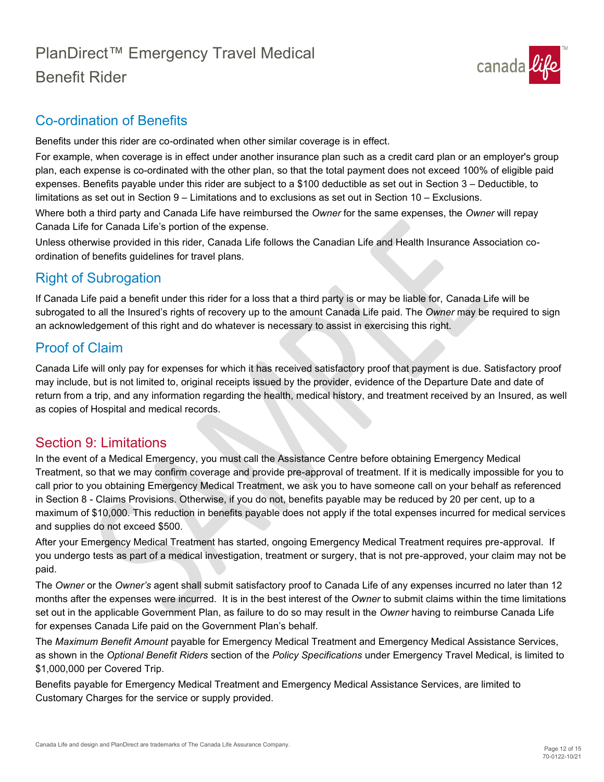

### <span id="page-11-0"></span>Co-ordination of Benefits

Benefits under this rider are co-ordinated when other similar coverage is in effect.

For example, when coverage is in effect under another insurance plan such as a credit card plan or an employer's group plan, each expense is co-ordinated with the other plan, so that the total payment does not exceed 100% of eligible paid expenses. Benefits payable under this rider are subject to a \$100 deductible as set out in Section 3 – Deductible, to limitations as set out in Section 9 – Limitations and to exclusions as set out in Section 10 – Exclusions. Where both a third party and Canada Life have reimbursed the *Owner* for the same expenses, the *Owner* will repay

Canada Life for Canada Life's portion of the expense. Unless otherwise provided in this rider, Canada Life follows the Canadian Life and Health Insurance Association coordination of benefits guidelines for travel plans.

<span id="page-11-1"></span>Right of Subrogation

If Canada Life paid a benefit under this rider for a loss that a third party is or may be liable for, Canada Life will be subrogated to all the Insured's rights of recovery up to the amount Canada Life paid. The *Owner* may be required to sign an acknowledgement of this right and do whatever is necessary to assist in exercising this right.

### <span id="page-11-2"></span>Proof of Claim

Canada Life will only pay for expenses for which it has received satisfactory proof that payment is due. Satisfactory proof may include, but is not limited to, original receipts issued by the provider, evidence of the Departure Date and date of return from a trip, and any information regarding the health, medical history, and treatment received by an Insured, as well as copies of Hospital and medical records.

### <span id="page-11-3"></span>Section 9: Limitations

In the event of a Medical Emergency, you must call the Assistance Centre before obtaining Emergency Medical Treatment, so that we may confirm coverage and provide pre-approval of treatment. If it is medically impossible for you to call prior to you obtaining Emergency Medical Treatment, we ask you to have someone call on your behalf as referenced in Section 8 - Claims Provisions. Otherwise, if you do not, benefits payable may be reduced by 20 per cent, up to a maximum of \$10,000. This reduction in benefits payable does not apply if the total expenses incurred for medical services and supplies do not exceed \$500.

After your Emergency Medical Treatment has started, ongoing Emergency Medical Treatment requires pre-approval. If you undergo tests as part of a medical investigation, treatment or surgery, that is not pre-approved, your claim may not be paid.

The *Owner* or the *Owner's* agent shall submit satisfactory proof to Canada Life of any expenses incurred no later than 12 months after the expenses were incurred. It is in the best interest of the *Owner* to submit claims within the time limitations set out in the applicable Government Plan, as failure to do so may result in the *Owner* having to reimburse Canada Life for expenses Canada Life paid on the Government Plan's behalf.

The *Maximum Benefit Amount* payable for Emergency Medical Treatment and Emergency Medical Assistance Services, as shown in the *Optional Benefit Riders* section of the *Policy Specifications* under Emergency Travel Medical, is limited to \$1,000,000 per Covered Trip.

Benefits payable for Emergency Medical Treatment and Emergency Medical Assistance Services, are limited to Customary Charges for the service or supply provided.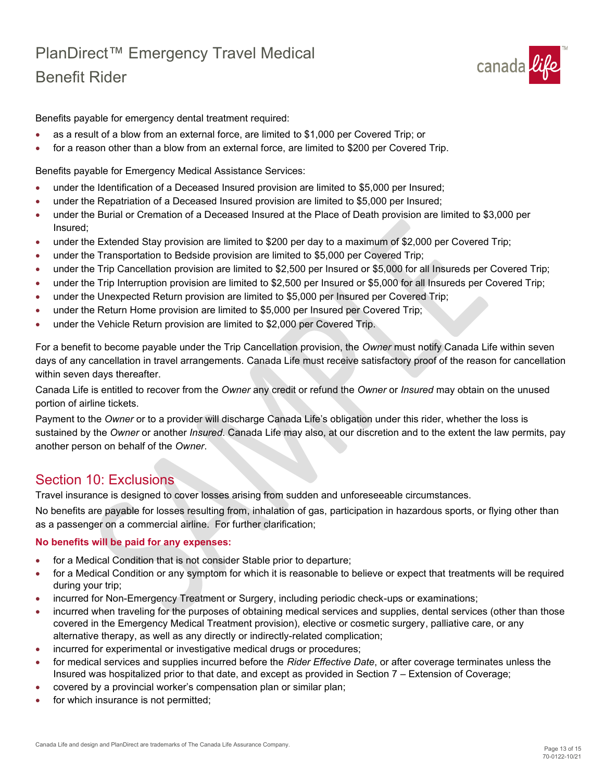

Benefits payable for emergency dental treatment required:

- as a result of a blow from an external force, are limited to \$1,000 per Covered Trip; or
- for a reason other than a blow from an external force, are limited to \$200 per Covered Trip.

Benefits payable for Emergency Medical Assistance Services:

- under the Identification of a Deceased Insured provision are limited to \$5,000 per Insured;
- under the Repatriation of a Deceased Insured provision are limited to \$5,000 per Insured;
- under the Burial or Cremation of a Deceased Insured at the Place of Death provision are limited to \$3,000 per Insured;
- under the Extended Stay provision are limited to \$200 per day to a maximum of \$2,000 per Covered Trip;
- under the Transportation to Bedside provision are limited to \$5,000 per Covered Trip;
- under the Trip Cancellation provision are limited to \$2,500 per Insured or \$5,000 for all Insureds per Covered Trip;
- under the Trip Interruption provision are limited to \$2,500 per Insured or \$5,000 for all Insureds per Covered Trip;
- under the Unexpected Return provision are limited to \$5,000 per Insured per Covered Trip;
- under the Return Home provision are limited to \$5,000 per Insured per Covered Trip;
- under the Vehicle Return provision are limited to \$2,000 per Covered Trip.

For a benefit to become payable under the Trip Cancellation provision, the *Owner* must notify Canada Life within seven days of any cancellation in travel arrangements. Canada Life must receive satisfactory proof of the reason for cancellation within seven days thereafter.

Canada Life is entitled to recover from the *Owner* any credit or refund the *Owner* or *Insured* may obtain on the unused portion of airline tickets.

Payment to the *Owner* or to a provider will discharge Canada Life's obligation under this rider, whether the loss is sustained by the *Owner* or another *Insured*. Canada Life may also, at our discretion and to the extent the law permits, pay another person on behalf of the *Owner*.

### <span id="page-12-0"></span>Section 10: Exclusions

Travel insurance is designed to cover losses arising from sudden and unforeseeable circumstances.

No benefits are payable for losses resulting from, inhalation of gas, participation in hazardous sports, or flying other than as a passenger on a commercial airline. For further clarification;

#### **No benefits will be paid for any expenses:**

- for a Medical Condition that is not consider Stable prior to departure;
- for a Medical Condition or any symptom for which it is reasonable to believe or expect that treatments will be required during your trip;
- incurred for Non-Emergency Treatment or Surgery, including periodic check-ups or examinations;
- incurred when traveling for the purposes of obtaining medical services and supplies, dental services (other than those covered in the Emergency Medical Treatment provision), elective or cosmetic surgery, palliative care, or any alternative therapy, as well as any directly or indirectly-related complication;
- incurred for experimental or investigative medical drugs or procedures;
- for medical services and supplies incurred before the *Rider Effective Date*, or after coverage terminates unless the Insured was hospitalized prior to that date, and except as provided in Section 7 – Extension of Coverage;
- covered by a provincial worker's compensation plan or similar plan;
- for which insurance is not permitted;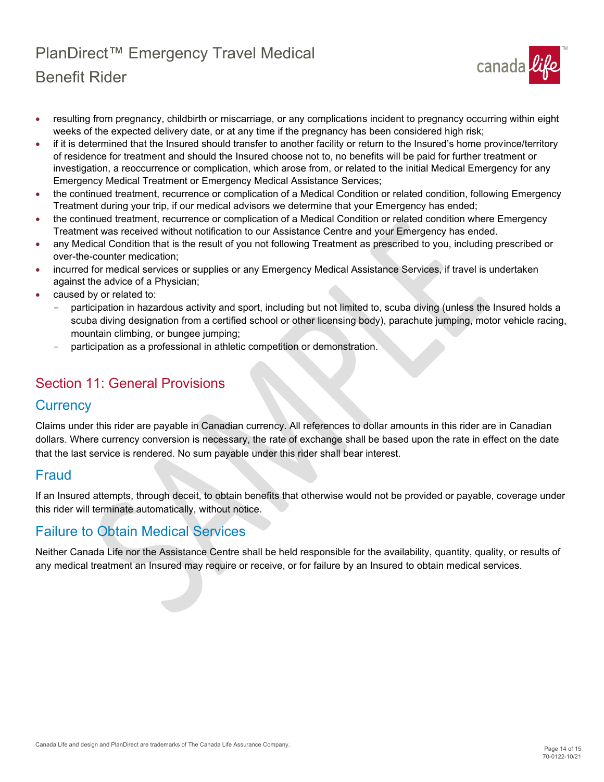

- resulting from pregnancy, childbirth or miscarriage, or any complications incident to pregnancy occurring within eight weeks of the expected delivery date, or at any time if the pregnancy has been considered high risk;
- if it is determined that the Insured should transfer to another facility or return to the Insured's home province/territory of residence for treatment and should the Insured choose not to, no benefits will be paid for further treatment or investigation, a reoccurrence or complication, which arose from, or related to the initial Medical Emergency for any Emergency Medical Treatment or Emergency Medical Assistance Services;
- the continued treatment, recurrence or complication of a Medical Condition or related condition, following Emergency Treatment during your trip, if our medical advisors we determine that your Emergency has ended;
- the continued treatment, recurrence or complication of a Medical Condition or related condition where Emergency Treatment was received without notification to our Assistance Centre and your Emergency has ended.
- any Medical Condition that is the result of you not following Treatment as prescribed to you, including prescribed or over-the-counter medication;
- incurred for medical services or supplies or any Emergency Medical Assistance Services, if travel is undertaken against the advice of a Physician;
- caused by or related to:
	- participation in hazardous activity and sport, including but not limited to, scuba diving (unless the Insured holds a scuba diving designation from a certified school or other licensing body), parachute jumping, motor vehicle racing, mountain climbing, or bungee jumping;
	- participation as a professional in athletic competition or demonstration.

### <span id="page-13-0"></span>Section 11: General Provisions

### <span id="page-13-1"></span>**Currency**

Claims under this rider are payable in Canadian currency. All references to dollar amounts in this rider are in Canadian dollars. Where currency conversion is necessary, the rate of exchange shall be based upon the rate in effect on the date that the last service is rendered. No sum payable under this rider shall bear interest.

### <span id="page-13-2"></span>Fraud

If an Insured attempts, through deceit, to obtain benefits that otherwise would not be provided or payable, coverage under this rider will terminate automatically, without notice.

### <span id="page-13-3"></span>Failure to Obtain Medical Services

Neither Canada Life nor the Assistance Centre shall be held responsible for the availability, quantity, quality, or results of any medical treatment an Insured may require or receive, or for failure by an Insured to obtain medical services.